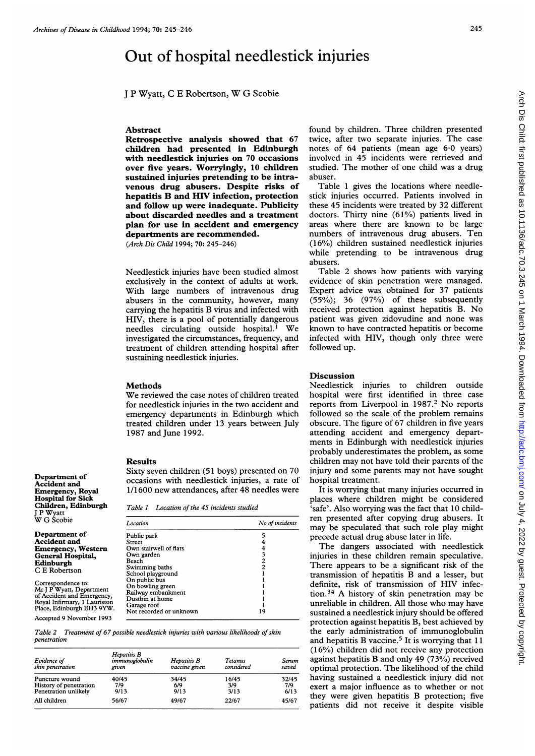# Out of hospital needlestick injuries

<sup>J</sup> <sup>P</sup> Wyatt, <sup>C</sup> <sup>E</sup> Robertson, W G Scobie

#### Abstract

Retrospective analysis showed that 67 children had presented in Edinburgh with needlestick injuries on 70 occasions over five years. Worryingly, 10 children sustained injuries pretending to be intravenous drug abusers. Despite risks of hepatitis B and HIV infection, protection and follow up were inadequate. Publicity about discarded needles and a treatment plan for use in accident and emergency departments are recommended.

(Arch Dis Child 1994; 70: 245-246)

Needlestick injuries have been studied almost exclusively in the context of adults at work. With large numbers of intravenous drug abusers in the community, however, many carrying the hepatitis B virus and infected with HIV, there is a pool of potentially dangerous needles circulating outside hospital.<sup>1</sup> We investigated the circumstances, frequency, and treatment of children attending hospital after sustaining needlestick injuries.

#### Methods

We reviewed the case notes of children treated for needlestick injuries in the two accident and emergency departments in Edinburgh which treated children under 13 years between July 1987 and June 1992.

#### Results

Department of Accident and Emergency, Royal Hospital for Sick Children, Edinburgh

<sup>J</sup> P Wyatt W G Scobie Department of Accident and

Sixty seven children (51 boys) presented on 70 occasions with needlestick injuries, a rate of 1/1600 new attendances, after 48 needles were

Table <sup>1</sup> Location of the 45 incidents studied

| W G Scobie                                                                                                                                | Location                                                                                                             | No of incidents |  |
|-------------------------------------------------------------------------------------------------------------------------------------------|----------------------------------------------------------------------------------------------------------------------|-----------------|--|
| Department of<br><b>Accident and</b><br><b>Emergency, Western</b><br>General Hospital,<br>Edinburgh<br>C E Robertson                      | Public park<br>Street<br>Own stairwell of flats<br>Own garden<br>Beach<br>Swimming baths<br>School playground        | 2               |  |
| Correspondence to:<br>Mr J P Wyatt, Department<br>of Accident and Emergency,<br>Royal Infirmary, 1 Lauriston<br>Place, Edinburgh EH3 9YW. | On public bus<br>On bowling green<br>Railway embankment<br>Dustbin at home<br>Garage roof<br>Not recorded or unknown | 19              |  |
| Accepted 9 November 1993                                                                                                                  |                                                                                                                      |                 |  |

Table 2 Treatment of 67 possible needlestick injuries with various likelihoods of skin penetration

| Evidence of<br>skin penetration | Hepatitis B<br>immunoglobulin<br>given | Hepatitis B<br>vaccine given | <b>Tetanus</b><br>considered | Serum<br>saved |
|---------------------------------|----------------------------------------|------------------------------|------------------------------|----------------|
| Puncture wound                  | 40/45                                  | 34/45                        | 16/45                        | 32/45          |
| History of penetration          | 7/9                                    | 6/9                          | 3/9                          | 7/9            |
| Penetration unlikely            | 9/13                                   | 9/13                         | 3/13                         | 6/13           |
| All children                    | 56/67                                  | 49/67                        | 22/67                        | 45/67          |

found by children. Three children presented twice, after two separate injuries. The case notes of 64 patients (mean age 6-0 years) involved in 45 incidents were retrieved and studied. The mother of one child was a drug abuser.

Table <sup>1</sup> gives the locations where needlestick injuries occurred. Patients involved in these 45 incidents were treated by 32 different doctors. Thirty nine (61%) patients lived in areas where there are known to be large numbers of intravenous drug abusers. Ten (16%) children sustained needlestick injuries while pretending to be intravenous drug abusers.

Table 2 shows how patients with varying evidence of skin penetration were managed. Expert advice was obtained for 37 patients  $(55\%)$ ; 36  $(97\%)$  of these subsequently received protection against hepatitis B. No patient was given zidovudine and none was known to have contracted hepatitis or become infected with HIV, though only three were followed up.

#### Discussion

Needlestick injuries to children outside hospital were first identified in three case reports from Liverpool in 1987.<sup>2</sup> No reports followed so the scale of the problem remains obscure. The figure of 67 children in five years attending accident and emergency departments in Edinburgh with needlestick injuries probably underestimates the problem, as some children may not have told their parents of the injury and some parents may not have sought hospital treatment.

It is worrying that many injuries occurred in places where children might be considered 'safe'. Also worrying was the fact that 10 children presented after copying drug abusers. It may be speculated that such role play might precede actual drug abuse later in life.

The dangers associated with needlestick injuries in these children remain speculative. There appears to be a significant risk of the transmission of hepatitis B and <sup>a</sup> lesser, but definite, risk of transmission of HIV infection.34 A history of skin penetration may be unreliable in children. All those who may have sustained a needlestick injury should be offered protection against hepatitis B, best achieved by the early administration of immunoglobulin and hepatitis B vaccine.<sup>5</sup> It is worrying that 11 (16%) children did not receive any protection against hepatitis B and only 49 (73%) received optimal protection. The likelihood of the child having sustained a needlestick injury did not exert a major influence as to whether or not they were given hepatitis B protection; five patients did not receive it despite visible